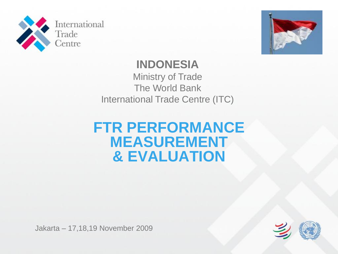



### **INDONESIA**

Ministry of Trade The World Bank International Trade Centre (ITC)

## **FTR PERFORMANCE MEASUREMENT & EVALUATION**

Jakarta – 17,18,19 November 2009

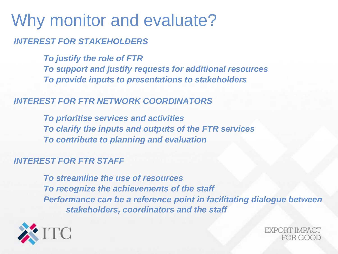# Why monitor and evaluate? *INTEREST FOR STAKEHOLDERS*

*To justify the role of FTR To support and justify requests for additional resources To provide inputs to presentations to stakeholders*

#### *INTEREST FOR FTR NETWORK COORDINATORS*

*To prioritise services and activities To clarify the inputs and outputs of the FTR services To contribute to planning and evaluation*

#### *INTEREST FOR FTR STAFF*

*To streamline the use of resources To recognize the achievements of the staff Performance can be a reference point in facilitating dialogue between stakeholders, coordinators and the staff*



EXPORT IMPAC FOR GOOD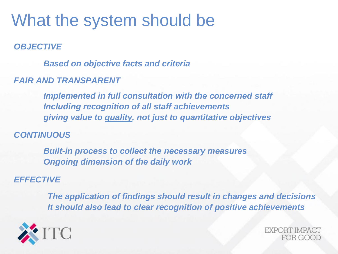# What the system should be

*OBJECTIVE*

*Based on objective facts and criteria*

#### *FAIR AND TRANSPARENT*

*Implemented in full consultation with the concerned staff Including recognition of all staff achievements giving value to quality, not just to quantitative objectives*

#### *CONTINUOUS*

*Built-in process to collect the necessary measures Ongoing dimension of the daily work*

#### *EFFECTIVE*

*The application of findings should result in changes and decisions It should also lead to clear recognition of positive achievements* 



EXPORT IMPAC" FOR GOOD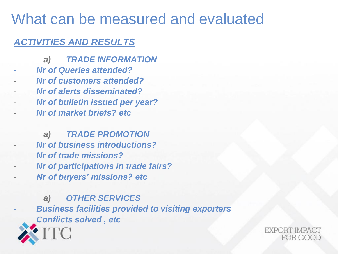# What can be measured and evaluated

### *ACTIVITIES AND RESULTS*

- *a) TRADE INFORMATION*
- *- Nr of Queries attended?*
- *Nr of customers attended?*
- *Nr of alerts disseminated?*
- *Nr of bulletin issued per year?*
- *Nr of market briefs? etc*

*a) TRADE PROMOTION*

- *Nr of business introductions?*
- *Nr of trade missions?*
- *Nr of participations in trade fairs?*
- *Nr of buyers' missions? etc*

*a) OTHER SERVICES - Business facilities provided to visiting exporters Conflicts solved , etc* 

EXPORT IMPAC" FOR GOOD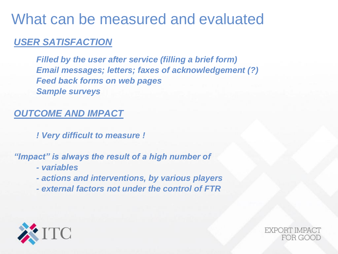# What can be measured and evaluated

### *USER SATISFACTION*

*Filled by the user after service (filling a brief form) Email messages; letters; faxes of acknowledgement (?) Feed back forms on web pages Sample surveys*

### *OUTCOME AND IMPACT*

*! Very difficult to measure !*

#### *"Impact" is always the result of a high number of*

- *- variables*
- *- actions and interventions, by various players*
- *- external factors not under the control of FTR*



EXPORT IMPA FOR GOOD